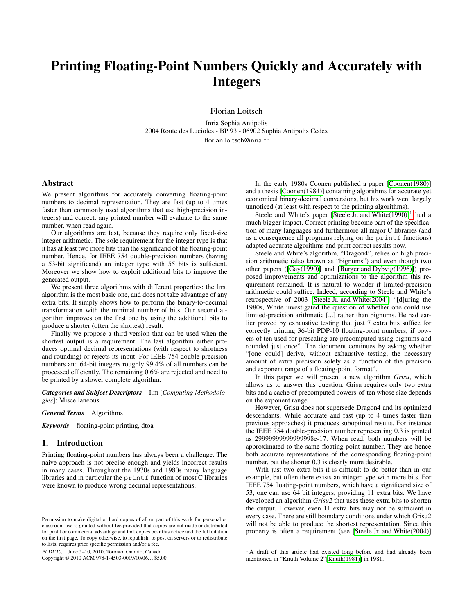# Printing Floating-Point Numbers Quickly and Accurately with Integers

Florian Loitsch

Inria Sophia Antipolis 2004 Route des Lucioles - BP 93 - 06902 Sophia Antipolis Cedex florian.loitsch@inria.fr

### Abstract

We present algorithms for accurately converting floating-point numbers to decimal representation. They are fast (up to 4 times faster than commonly used algorithms that use high-precision integers) and correct: any printed number will evaluate to the same number, when read again.

Our algorithms are fast, because they require only fixed-size integer arithmetic. The sole requirement for the integer type is that it has at least two more bits than the significand of the floating-point number. Hence, for IEEE 754 double-precision numbers (having a 53-bit significand) an integer type with 55 bits is sufficient. Moreover we show how to exploit additional bits to improve the generated output.

We present three algorithms with different properties: the first algorithm is the most basic one, and does not take advantage of any extra bits. It simply shows how to perform the binary-to-decimal transformation with the minimal number of bits. Our second algorithm improves on the first one by using the additional bits to produce a shorter (often the shortest) result.

Finally we propose a third version that can be used when the shortest output is a requirement. The last algorithm either produces optimal decimal representations (with respect to shortness and rounding) or rejects its input. For IEEE 754 double-precision numbers and 64-bit integers roughly 99.4% of all numbers can be processed efficiently. The remaining 0.6% are rejected and need to be printed by a slower complete algorithm.

*Categories and Subject Descriptors* I.m [*Computing Methodologies*]: Miscellaneous

*General Terms* Algorithms

*Keywords* floating-point printing, dtoa

### 1. Introduction

Printing floating-point numbers has always been a challenge. The naive approach is not precise enough and yields incorrect results in many cases. Throughout the 1970s and 1980s many language libraries and in particular the  $print$  function of most C libraries were known to produce wrong decimal representations.

PLDI'10, June 5–10, 2010, Toronto, Ontario, Canada.

Copyright © 2010 ACM 978-1-4503-0019/10/06. . . \$5.00.

In the early 1980s Coonen published a paper [\[Coonen\(1980\)\]](#page-10-0) and a thesis [\[Coonen\(1984\)\]](#page-10-1) containing algorithms for accurate yet economical binary-decimal conversions, but his work went largely unnoticed (at least with respect to the printing algorithms).

Steele and White's paper [Steele Jr. and White $(1990)$  $(1990)$  $(1990)$ ]<sup>1</sup> had a much bigger impact. Correct printing become part of the specification of many languages and furthermore all major C libraries (and as a consequence all programs relying on the  $print$  functions) adapted accurate algorithms and print correct results now.

Steele and White's algorithm, "Dragon4", relies on high precision arithmetic (also known as "bignums") and even though two other papers ([\[Gay\(1990\)\]](#page-10-3) and [\[Burger and Dybvig\(1996\)\]](#page-10-4)) proposed improvements and optimizations to the algorithm this requirement remained. It is natural to wonder if limited-precision arithmetic could suffice. Indeed, according to Steele and White's retrospective of 2003 [\[Steele Jr. and White\(2004\)\]](#page-10-5) "[d]uring the 1980s, White investigated the question of whether one could use limited-precision arithmetic [...] rather than bignums. He had earlier proved by exhaustive testing that just 7 extra bits suffice for correctly printing 36-bit PDP-10 floating-point numbers, if powers of ten used for prescaling are precomputed using bignums and rounded just once". The document continues by asking whether "[one could] derive, without exhaustive testing, the necessary amount of extra precision solely as a function of the precision and exponent range of a floating-point format".

In this paper we will present a new algorithm *Grisu*, which allows us to answer this question. Grisu requires only two extra bits and a cache of precomputed powers-of-ten whose size depends on the exponent range.

However, Grisu does not supersede Dragon4 and its optimized descendants. While accurate and fast (up to 4 times faster than previous approaches) it produces suboptimal results. For instance the IEEE 754 double-precision number representing 0.3 is printed as 29999999999999998e-17. When read, both numbers will be approximated to the same floating-point number. They are hence both accurate representations of the corresponding floating-point number, but the shorter 0.3 is clearly more desirable.

With just two extra bits it is difficult to do better than in our example, but often there exists an integer type with more bits. For IEEE 754 floating-point numbers, which have a significand size of 53, one can use 64 bit integers, providing 11 extra bits. We have developed an algorithm *Grisu2* that uses these extra bits to shorten the output. However, even 11 extra bits may not be sufficient in every case. There are still boundary conditions under which Grisu2 will not be able to produce the shortest representation. Since this property is often a requirement (see [\[Steele Jr. and White\(2004\)\]](#page-10-5)

Permission to make digital or hard copies of all or part of this work for personal or classroom use is granted without fee provided that copies are not made or distributed for profit or commercial advantage and that copies bear this notice and the full citation on the first page. To copy otherwise, to republish, to post on servers or to redistribute to lists, requires prior specific permission and/or a fee.

<span id="page-0-0"></span><sup>&</sup>lt;sup>1</sup> A draft of this article had existed long before and had already been mentioned in "Knuth Volume 2"[\[Knuth\(1981\)\]](#page-10-6) in 1981.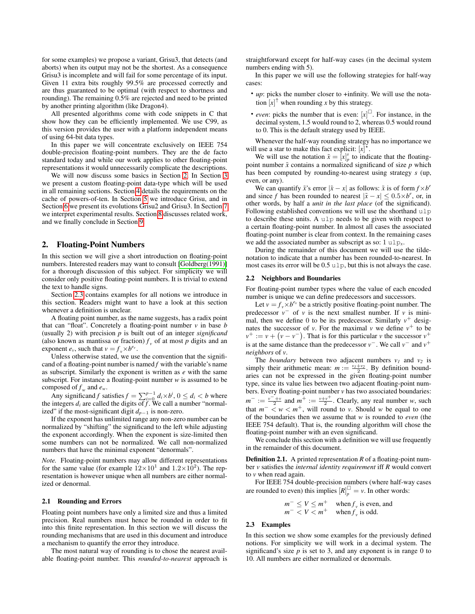for some examples) we propose a variant, Grisu3, that detects (and aborts) when its output may not be the shortest. As a consequence Grisu3 is incomplete and will fail for some percentage of its input. Given 11 extra bits roughly 99.5% are processed correctly and are thus guaranteed to be optimal (with respect to shortness and rounding). The remaining 0.5% are rejected and need to be printed by another printing algorithm (like Dragon4).

All presented algorithms come with code snippets in C that show how they can be efficiently implemented. We use C99, as this version provides the user with a platform independent means of using 64-bit data types.

In this paper we will concentrate exclusively on IEEE 754 double-precision floating-point numbers. They are the de facto standard today and while our work applies to other floating-point representations it would unnecessarily complicate the descriptions.

We will now discuss some basics in Section [2.](#page-1-0) In Section [3](#page-2-0) we present a custom floating-point data-type which will be used in all remaining sections. Section [4](#page-3-0) details the requirements on the cache of powers-of-ten. In Section [5](#page-3-1) we introduce Grisu, and in Section [6](#page-6-0) we present its evolutions Grisu2 and Grisu3. In Section [7](#page-9-0) we interpret experimental results. Section [8](#page-10-7) discusses related work, and we finally conclude in Section [9.](#page-10-8)

### <span id="page-1-0"></span>2. Floating-Point Numbers

In this section we will give a short introduction on floating-point numbers. Interested readers may want to consult [\[Goldberg\(1991\)\]](#page-10-9) for a thorough discussion of this subject. For simplicity we will consider only positive floating-point numbers. It is trivial to extend the text to handle signs.

Section [2.3](#page-1-1) contains examples for all notions we introduce in this section. Readers might want to have a look at this section whenever a definition is unclear.

A floating point number, as the name suggests, has a radix point that can "float". Concretely a floating-point number  $\nu$  in base  $\nu$ (usually 2) with precision *p* is built out of an integer *significand* (also known as mantissa or fraction)  $f_v$  of at most *p* digits and an exponent  $e_v$ , such that  $v = f_v \times b^{e_v}$ .

Unless otherwise stated, we use the convention that the significand of a floating-point number is named *f* with the variable's name as subscript. Similarly the exponent is written as *e* with the same subscript. For instance a floating-point number *w* is assumed to be composed of  $f_w$  and  $e_w$ .

Any significand *f* satisfies  $f = \sum_{i=0}^{p-1} d_i \times b^i$ ,  $0 \le d_i < b$  where the integers  $d_i$  are called the digits of  $f$ . We call a number "normalized" if the most-significant digit  $d_{p-1}$  is non-zero.

If the exponent has unlimited range any non-zero number can be normalized by "shifting" the significand to the left while adjusting the exponent accordingly. When the exponent is size-limited then some numbers can not be normalized. We call non-normalized numbers that have the minimal exponent "denormals".

*Note.* Floating-point numbers may allow different representations for the same value (for example  $12 \times 10^1$  and  $1.2 \times 10^2$ ). The representation is however unique when all numbers are either normalized or denormal.

### 2.1 Rounding and Errors

Floating point numbers have only a limited size and thus a limited precision. Real numbers must hence be rounded in order to fit into this finite representation. In this section we will discuss the rounding mechanisms that are used in this document and introduce a mechanism to quantify the error they introduce.

The most natural way of rounding is to chose the nearest available floating-point number. This *rounded-to-nearest* approach is straightforward except for half-way cases (in the decimal system numbers ending with 5).

In this paper we will use the following strategies for half-way cases:

- *up*: picks the number closer to +infinity. We will use the notation  $[x]$ <sup> $\uparrow$ </sup> when rounding *x* by this strategy.
- *even*: picks the number that is even:  $[x]^\square$ . For instance, in the decimal system, 1.5 would round to 2, whereas 0.5 would round to 0. This is the default strategy used by IEEE.

Whenever the half-way rounding strategy has no importance we will use a star to make this fact explicit:  $[x]^{*}$ .

We will use the notation  $\tilde{x} = [x]_p^s$  to indicate that the floatingpoint number  $\tilde{x}$  contains a normalized significand of size  $p$  which has been computed by rounding-to-nearest using strategy *s* (up, even, or any).

We can quantify  $\tilde{x}$ 's error  $|\tilde{x} - x|$  as follows:  $\tilde{x}$  is of form  $f \times b^e$ and since *f* has been rounded to nearest  $|\tilde{x} - x| \le 0.5 \times b^e$ , or, in other words, by half a *unit in the last place* (of the significand). Following established conventions we will use the shorthand ulp to describe these units. A ulp needs to be given with respect to a certain floating-point number. In almost all cases the associated floating-point number is clear from context. In the remaining cases we add the associated number as subscript as so:  $1 \text{ ulp}_x$ .

During the remainder of this document we will use the tildenotation to indicate that a number has been rounded-to-nearest. In most cases its error will be  $0.5 \text{ ulp}$ , but this is not always the case.

#### <span id="page-1-2"></span>2.2 Neighbors and Boundaries

For floating-point number types where the value of each encoded number is unique we can define predecessors and successors.

Let  $v = f_v \times b^{e_v}$  be a strictly positive floating-point number. The predecessor  $v^-$  of *v* is the next smallest number. If *v* is minimal, then we define 0 to be its predecessor. Similarly  $v^+$  designates the successor of *v*. For the maximal *v* we define  $v^+$  to be  $v^+ := v + (v - v^-)$ . That is for this particular *v* the successor  $v^+$ is at the same distance than the predecessor  $v^-$ . We call  $v^-$  and  $v^+$ *neighbors* of *v*.

The *boundary* between two adjacent numbers  $v_1$  and  $v_2$  is simply their arithmetic mean:  $m := \frac{v_I + v_2}{2}$ . By definition boundaries can not be expressed in the given floating-point number type, since its value lies between two adjacent floating-point numbers. Every floating-point number *v* has two associated boundaries:  $m^- := \frac{v^-+v^-}{2}$  and  $m^+ := \frac{v+v^+}{2}$ . Clearly, any real number *w*, such that  $m^- < w < m^+$ , will round to *v*. Should *w* be equal to one of the boundaries then we assume that *w* is rounded to *even* (the IEEE 754 default). That is, the rounding algorithm will chose the floating-point number with an even significand.

We conclude this section with a definition we will use frequently in the remainder of this document.

**Definition 2.1.** A printed representation *R* of a floating-point number *v* satisfies the *internal identity requirement* iff *R* would convert to *v* when read again.

For IEEE 754 double-precision numbers (where half-way cases are rounded to even) this implies  $[R]_p^{\square} = v$ . In other words:

$$
m^{-} \le V \le m^{+} \quad \text{when } f_{v} \text{ is even, and}
$$
  

$$
m^{-} < V < m^{+} \quad \text{when } f_{v} \text{ is odd.}
$$

### <span id="page-1-1"></span>2.3 Examples

In this section we show some examples for the previously defined notions. For simplicity we will work in a decimal system. The significand's size  $p$  is set to 3, and any exponent is in range 0 to 10. All numbers are either normalized or denormals.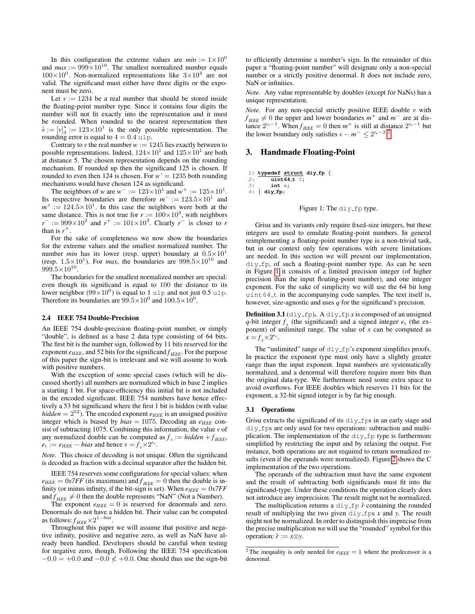In this configuration the extreme values are  $min := 1 \times 10^0$ and  $max := 999 \times 10^{10}$ . The smallest normalized number equals  $100\times10^{0}$ . Non-normalized representations like  $3\times10^{4}$  are not valid. The significand must either have three digits or the exponent must be zero.

Let  $v := 1234$  be a real number that should be stored inside the floating-point number type. Since it contains four digits the number will not fit exactly into the representation and it must be rounded. When rounded to the nearest representation then  $\tilde{v} := [v]_3^* := 123 \times 10^1$  is the only possible representation. The rounding error is equal to  $4 = 0.4$  ulp.

Contrary to *v* the real number  $w := 1245$  lies exactly between to possible representations. Indeed,  $124 \times 10^1$  and  $125 \times 10^1$  are both at distance 5. The chosen representation depends on the rounding mechanism. If rounded up then the significand 125 is chosen. If rounded to even then 124 is chosen. For  $w' = 1235$  both rounding mechanisms would have chosen 124 as significand.

The neighbors of *w* are  $w^- := 123 \times 10^1$  and  $w^+ := 125 \times 10^1$ . Its respective boundaries are therefore  $m^- := 123.5 \times 10^1$  and  $m^+ := 124.5 \times 10^1$ . In this case the neighbors were both at the same distance. This is not true for  $r := 100 \times 10^3$ , with neighbors  $r^- := 999 \times 10^2$  and  $r^+ := 101 \times 10^3$ . Clearly  $r^-$  is closer to *r* than is  $r^+$ .

For the sake of completeness we now show the boundaries for the extreme values and the smallest normalized number. The number *min* has its lower (resp. upper) boundary at  $0.5 \times 10^{1}$ (resp.  $1.5 \times 10^{1}$ ). For *max*, the boundaries are  $998.5 \times 10^{10}$  and  $999.5\times10^{10}$ .

The boundaries for the smallest normalized number are special: even though its significand is equal to 100 the distance to its lower neighbor ( $99 \times 10^{0}$ ) is equal to 1 ulp and not just 0.5 ulp. Therefore its boundaries are  $99.5 \times 10^0$  and  $100.5 \times 10^0$ .

#### 2.4 IEEE 754 Double-Precision

An IEEE 754 double-precision floating-point number, or simply "double", is defined as a base 2 data type consisting of 64 bits. The first bit is the number sign, followed by 11 bits reserved for the exponent  $e_{IEEE}$ , and 52 bits for the significand  $f_{IEEE}$ . For the purpose of this paper the sign-bit is irrelevant and we will assume to work with positive numbers.

With the exception of some special cases (which will be discussed shortly) all numbers are normalized which in base 2 implies a starting 1 bit. For space-efficiency this initial bit is not included in the encoded significant. IEEE 754 numbers have hence effectively a 53 bit significand where the first 1 bit is hidden (with value *hidden* =  $2^{52}$ ). The encoded exponent  $e_{IEEE}$  is an unsigned positive integer which is biased by *bias* = 1075. Decoding an *eIEEE* consist of subtracting 1075. Combining this information, the value *v* of any normalized double can be computed as  $f_v := hidden + f_{IEEE}$ ,  $e_v := e_{IEEE} - bias$  and hence  $v = f_v \times 2^{e_v}$ .

*Note.* This choice of decoding is not unique. Often the significand is decoded as fraction with a decimal separator after the hidden bit.

IEEE 754 reserves some configurations for special values: when  $e_{IEEE} = 0x7FF$  (its maximum) and  $f_{IEEE} = 0$  then the double is infinity (or minus infinity, if the bit-sign is set). When  $e_{IEEE} = 0x7FF$ and  $f_{IEEE} \neq 0$  then the double represents "NaN" (Not a Number).

The exponent  $e_{IEEE} = 0$  is reserved for denormals and zero. Denormals do not have a hidden bit. Their value can be computed as follows:  $f_{IEEE} \times 2^{1-bias}$ .

Throughout this paper we will assume that positive and negative infinity, positive and negative zero, as well as NaN have already been handled. Developers should be careful when testing for negative zero, though. Following the IEEE 754 specification  $-0.0 = +0.0$  and  $-0.0 \nless 0.0$ . One should thus use the sign-bit to efficiently determine a number's sign. In the remainder of this paper a "floating-point number" will designate only a non-special number or a strictly positive denormal. It does not include zero, NaN or infinities.

*Note.* Any value representable by doubles (except for NaNs) has a unique representation.

*Note.* For any non-special strictly positive IEEE double *v* with  $f_{IEEE} \neq 0$  the upper and lower boundaries  $m^+$  and  $m^-$  are at distance  $2^{v_e-1}$ . When  $f_{IEEE} = 0$  then  $m^+$  is still at distance  $2^{v_e-1}$  but the lower boundary only satisfies  $v - m^{-} \leq 2^{v_e - 2}$  $v - m^{-} \leq 2^{v_e - 2}$  $v - m^{-} \leq 2^{v_e - 2}$ .<sup>2</sup>

### <span id="page-2-0"></span>3. Handmade Floating-Point

```
1: typedef struct diy fp {
```

```
2: uint64 t f;
```

```
3: int e;
4: } diy fp;
```
Figure 1: The 
$$
\text{div}_{\text{f}}
$$
 type.

Grisu and its variants only require fixed-size integers, but these integers are used to emulate floating-point numbers. In general reimplementing a floating-point number type is a non-trivial task, but in our context only few operations with severe limitations are needed. In this section we will present our implementation,  $di$ <sub>y</sub> fp, of such a floating-point number type. As can be seen in Figure [1](#page-2-2) it consists of a limited precision integer (of higher precision than the input floating-point number), and one integer exponent. For the sake of simplicity we will use the 64 bit long uint  $64 - t$  in the accompanying code samples. The text itself is, however, size-agnostic and uses *q* for the significand's precision.

**Definition 3.1** (diy-fp). A diy-fp *x* is composed of an unsigned *q*-bit integer  $f_x$  (the significand) and a signed integer  $e_x$  (the exponent) of unlimited range. The value of *x* can be computed as  $\dot{x} = f_x \times 2^{e_x}.$ 

The "unlimited" range of  $\text{div}_{\mathcal{F}}$  fp's exponent simplifies proofs. In practice the exponent type must only have a slightly greater range than the input exponent. Input numbers are systematically normalized, and a denormal will therefore require more bits than the original data-type. We furthermore need some extra space to avoid overflows. For IEEE doubles which reserves 11 bits for the exponent, a 32-bit signed integer is by far big enough.

#### 3.1 Operations

Grisu extracts the significand of its  $di\gamma$  fps in an early stage and diy fps are only used for two operations: subtraction and multiplication. The implementation of the  $di$   $y$   $f$   $p$  type is furthermore simplified by restricting the input and by relaxing the output. For instance, both operations are not required to return normalized results (even if the operands were normalized). Figure [2](#page-3-2) shows the C implementation of the two operations.

The operands of the subtraction must have the same exponent and the result of subtracting both significands must fit into the significand-type. Under these conditions the operation clearly does not introduce any imprecision. The result might not be normalized.

The multiplication returns a  $\text{div}_{\mathcal{I}} f$  *f* containing the rounded result of multiplying the two given  $\text{div}_\text{fps} x$  and *y*. The result might not be normalized. In order to distinguish this imprecise from the precise multiplication we will use the "rounded" symbol for this operation:  $\tilde{r} := x \otimes y$ .

<span id="page-2-1"></span><sup>&</sup>lt;sup>2</sup> The inequality is only needed for  $e_{IEEE} = 1$  where the predecessor is a denormal.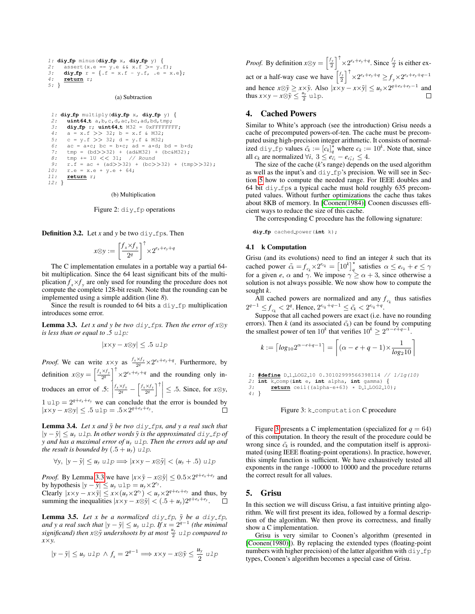```
1: diy_fp minus (diy_fp x, diy_fp y) {<br>2: assert (x,e == y,e && x,f >= y,i
2: assert (x.e == y.e && x.f >= y.f);<br>3: diy_fp r = \{ .f = x.f - y.f, .e = x \}diy_fp r = \{ .f = x.f - y.f, .e = x.e \};4: return r;
5: }
```
(a) Subtraction

```
1: diy fp multiply(diy fp x, diy fp y) {
 2: uint64 t a,b,c,d,ac,bc,ad,bd,tmp;
 3: diy fp r; uint64 t M32 = 0xFFFFFFFF;
 4: a = x.f \geq 32; b = x.f \& M32;<br>5: c = y.f \geq 32; d = y.f \& M32;c = y.f \gg 32; d = y.f \& M32;6: ac = a*c; bc = b*c; ad = a*d; bd = b*d;<br>7: tmp = (bd) > 32) + (ad@M32) + (bc@M32);
       tmp = (bd) > 32) + (ad@M32) + (bc@M32);8: tmp += 1U << 31; // Round
9: r.f = ac + (ad>>32) + (bc>>32) + (tmp>>32);
10: r.e = x.e + y.e + 64;11: return r;
12: }
```
#### (b) Multiplication

Figure 2:  $\text{div}_{\text{F}}$  p operations

**Definition 3.2.** Let *x* and *y* be two diy\_fps. Then

$$
x \otimes y := \left[\frac{f_x \times f_y}{2q}\right]^\uparrow \times 2^{e_x + e_y + q}
$$

The C implementation emulates in a portable way a partial 64 bit multiplication. Since the 64 least significant bits of the multiplication  $f_x \times f_y$  are only used for rounding the procedure does not compute the complete 128-bit result. Note that the rounding can be implemented using a simple addition (line *8*).

Since the result is rounded to 64 bits a  $\text{div}_{\mathcal{I}}$  fp multiplication introduces some error.

<span id="page-3-3"></span>**Lemma 3.3.** Let x and y be two diy\_fps. Then the error of  $x \otimes y$ *is less than or equal to .5* ulp*:*

$$
|x \times y - x \otimes y| \leq .5 \text{ ulp}
$$

*Proof.* We can write  $x \times y$  as  $\frac{f_x \times f_y}{2^q} \times 2^{e_x + e_y + q}$ . Furthermore, by definition  $x \otimes y = \left[\frac{f_x \times f_y}{2^q}\right]^\uparrow \times 2^{e_x + e_y + q}$  and the rounding only introduces an error of .5:  $\Big|$  $\left[\frac{f_x \times f_y}{2q} - \left[\frac{f_x \times f_y}{2q}\right]^\uparrow\right]$ ≤ .5. Since, for *x*⊗*y*,  $1 \text{ ulp} = 2^{q+\epsilon_x+\epsilon_y}$  we can conclude that the error is bounded by  $|x \times y - x \otimes y| \leq .5 \text{ ulp} = .5 \times 2^{q + e_x + e_y}.$  $\Box$ 

<span id="page-3-6"></span>**Lemma 3.4.** Let x and  $\tilde{y}$  be two  $\text{div}_{x} f$  ps, and y a real such that  $|y - \tilde{y}|$  ≤  $u<sub>y</sub>$  ulp. In other words  $\tilde{y}$  is the approximated div\_fp of *y* and has a maximal error of  $u$ <sup>*y*</sup> ulp*. Then the errors add up and the result is bounded by*  $(.5 + u_y)$  *ulp.* 

$$
\forall y, \ |y - \tilde{y}| \le u_y \ u1p \Longrightarrow |x \times y - x \otimes \tilde{y}| < (u_y + .5) \ u1p
$$

*Proof.* By Lemma [3.3](#page-3-3) we have  $|x \times \tilde{y} - x \otimes \tilde{y}| \le 0.5 \times 2^{q + e_x + e_y}$  and by hypothesis  $|y - \tilde{y}| \le u_y \text{ ulp} = u_y \times 2^{e_y}$ .

 $\text{Clearly } |x \times y - x \times \tilde{y}| \leq x \times (u_y \times 2^{e_y}) < u_y \times 2^{q+e_x+e_y}$  and thus, by summing the inequalities  $|x \times y - x \otimes \tilde{y}| < (0.5 + u_y)2^{q + e_x + e_y}$ .

<span id="page-3-7"></span>**Lemma 3.5.** Let x be a normalized diy\_fp,  $\tilde{y}$  be a diy\_fp, *and y a real such that*  $|y - \tilde{y}| \le u_y \text{ ulp}$ . If  $x = 2^{q-1}$  (the minimal *significand) then x*⊗˜*y undershoots by at most <sup>u</sup><sup>y</sup>* 2 ulp *compared to x*×*y.*

$$
|y-\tilde{y}|\leq u_y\;u1p\;\wedge f_x=2^{q-1}\Longrightarrow x\times y-x\otimes \tilde{y}\leq \frac{u_y}{2}\;u1p
$$

*Proof.* By definition  $x \otimes y = \left[\frac{f_y}{2}\right]^{\uparrow} \times 2^{e_x + e_y + q}$ . Since  $\frac{f_y}{2}$  is either exact or a half-way case we have  $\left[\frac{f_y}{2}\right]^{\uparrow} \times 2^{e_x+e_y+q} \geq f_y \times 2^{e_x+e_y+q-1}$ and hence  $x \otimes \tilde{y} \geq x \times \tilde{y}$ . Also  $|x \times y - x \times \tilde{y}| \leq u_y \times 2^{q + e_x + e_y - 1}$  and thus  $x \times y - x \otimes \tilde{y} \le \frac{u_y}{2}$  ulp.  $\Box$ 

### <span id="page-3-0"></span>4. Cached Powers

Similar to White's approach (see the introduction) Grisu needs a cache of precomputed powers-of-ten. The cache must be precomputed using high-precision integer arithmetic. It consists of normalized diy fp values  $\tilde{c}_k := [c_k]_q^*$  where  $c_k := 10^k$ . Note that, since all *c<sub>k</sub>* are normalized  $\forall i, 3 \leq e_{\tilde{c}_i}^* - e_{\tilde{c}_{i-1}} \leq 4$ .

The size of the cache (*k*'s range) depends on the used algorithm as well as the input's and  $diy$ <sub>-fp</sub>'s precision. We will see in Section [5](#page-3-1) how to compute the needed range. For IEEE doubles and 64 bit diy fps a typical cache must hold roughly 635 precomputed values. Without further optimizations the cache thus takes about 8KB of memory. In [\[Coonen\(1984\)\]](#page-10-1) Coonen discusses efficient ways to reduce the size of this cache.

The corresponding C procedure has the following signature:

**diy fp** cached power(**int** k);

#### <span id="page-3-5"></span>4.1 k Computation

Grisu (and its evolutions) need to find an integer  $k$  such that its cached power  $\tilde{c}_k = f_{c_k} \times 2^{e_{c_k}} = \left[10^k\right]_q^*$  satisfies  $\alpha \le e_{c_k} + e \le \gamma$ for a given *e*,  $\alpha$  and  $\gamma$ . We impose  $\gamma \ge \alpha + 3$ , since otherwise a solution is not always possible. We now show how to compute the sought *k*.

All cached powers are normalized and any  $f_{c_k}$  thus satisfies  $2^{q-1} \leq f_{c_k} < 2^q$ . Hence,  $2^{e_{c_k}+q-1} \leq \tilde{c_k} < 2^{e_{c_k}+q}$ .

Suppose that all cached powers are exact (i.e. have no rounding errors). Then *k* (and its associated  $\tilde{c_k}$ ) can be found by computing the smallest power of ten  $10^k$  that verifies  $10^k \geq 2^{\alpha - e + q - 1}$ .

$$
k := \left\lceil \log_{10} 2^{\alpha - e + q - 1} \right\rceil = \left\lceil (\alpha - e + q - 1) \times \frac{1}{\log_2 10} \right\rceil
$$

<span id="page-3-4"></span>1: **#define** D 1 LOG2 10 0.30102999566398114 // 1/lg(10) 2: **int** k\_comp(**int** e, **int** alpha, **int** gamma) {<br>3: **return** ceil((alpha-e+63) \* D\_1\_LOG2\_10); 4: }

Figure 3: k computation C procedure

Figure [3](#page-3-4) presents a C implementation (specialized for  $q = 64$ ) of this computation. In theory the result of the procedure could be wrong since  $\tilde{c}_k$  is rounded, and the computation itself is approximated (using IEEE floating-point operations). In practice, however, this simple function is sufficient. We have exhaustively tested all exponents in the range -10000 to 10000 and the procedure returns the correct result for all values.

### <span id="page-3-1"></span>5. Grisu

In this section we will discuss Grisu, a fast intuitive printing algorithm. We will first present its idea, followed by a formal description of the algorithm. We then prove its correctness, and finally show a C implementation.

Grisu is very similar to Coonen's algorithm (presented in [\[Coonen\(1980\)\]](#page-10-0)). By replacing the extended types (floating-point numbers with higher precision) of the latter algorithm with  $div_F$ types, Coonen's algorithm becomes a special case of Grisu.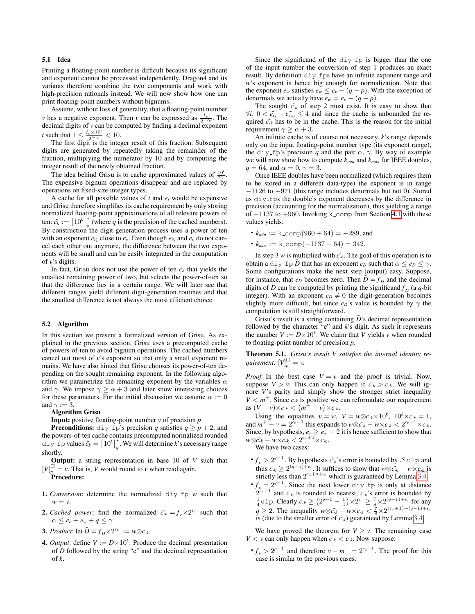### 5.1 Idea

Printing a floating-point number is difficult because its significant and exponent cannot be processed independently. Dragon4 and its variants therefore combine the two components and work with high-precision rationals instead. We will now show how one can print floating-point numbers without bignums.

Assume, without loss of generality, that a floating-point number *v* has a negative exponent. Then *v* can be expressed as  $\frac{f_v}{2^{-e_v}}$ . The decimal digits of  $\nu$  can be computed by finding a decimal exponent *t* such that  $1 \leq \frac{f_v \times 10^t}{2^{-e_v}} < 10$ .

The first digit is the integer result of this fraction. Subsequent digits are generated by repeatedly taking the remainder of the fraction, multiplying the numerator by 10 and by computing the integer result of the newly obtained fraction.

The idea behind Grisu is to cache approximated values of  $\frac{10^t}{2^{e_t}}$ . The expensive bignum operations disappear and are replaced by operations on fixed-size integer types.

A cache for all possible values of *t* and *e<sup>t</sup>* would be expensive and Grisu therefore simplifies its cache requirement by only storing normalized floating-point approximations of all relevant powers of ten:  $\tilde{c}_k := \left[10^k\right]_q^*$  (where *q* is the precision of the cached numbers). By construction the digit generation process uses a power of ten with an exponent  $e_{\tilde{c}_t}$  close to  $e_v$ . Even though  $e_{\tilde{c}_t}$  and  $e_v$  do not cancel each other out anymore, the difference between the two exponents will be small and can be easily integrated in the computation of *v*'s digits.

In fact, Grisu does not use the power of ten  $\tilde{c}_k$  that yields the smallest remaining power of two, but selects the power-of-ten so that the difference lies in a certain range. We will later see that different ranges yield different digit-generation routines and that the smallest difference is not always the most efficient choice.

### 5.2 Algorithm

In this section we present a formalized version of Grisu. As explained in the previous section, Grisu uses a precomputed cache of powers-of-ten to avoid bignum operations. The cached numbers cancel out most of *v*'s exponent so that only a small exponent remains. We have also hinted that Grisu chooses its power-of-ten depending on the sought remaining exponent. In the following algorithm we parametrize the remaining exponent by the variables  $\alpha$ and  $\gamma$ . We impose  $\gamma \ge \alpha + 3$  and later show interesting choices for these parameters. For the initial discussion we assume  $\alpha := 0$ and  $\gamma := 3$ .

### Algorithm Grisu

Input: positive floating-point number *v* of precision *p*

**Preconditions:** diy\_fp's precision *q* satisfies  $q \geq p+2$ , and the powers-of-ten cache contains precomputed normalized rounded diy fp values  $\tilde{c_k} = \left[10^k\right]_q^*$ . We will determine *k*'s necessary range shortly.

Output: a string representation in base 10 of *V* such that  $[V]_p^{\square} = v$ . That is, *V* would round to *v* when read again.

# Procedure:

- 1. *Conversion*: determine the normalized  $\text{div}_{\text{f}}$  w such that  $w = v$ .
- **2.** *Cached power*: find the normalized  $\tilde{c_k} = f_c \times 2^{e_c}$  such that  $\alpha \leq e_c + e_w + q \leq \gamma$
- **3.** *Product*: let  $\tilde{D} = f_D \times 2^{e_D} := w \otimes \tilde{c}_k$ .
- **4.** *Output*: define  $V := \tilde{D} \times 10^k$ . Produce the decimal presentation of  $\tilde{D}$  followed by the string "e" and the decimal representation of *k*.

Since the significand of the  $di\psi$ -fp is bigger than the one of the input number the conversion of step 1 produces an exact result. By definition  $\text{div}_z$  fps have an infinite exponent range and *w*'s exponent is hence big enough for normalization. Note that the exponent  $e_w$  satisfies  $e_w \leq e_v - (q - p)$ . With the exception of denormals we actually have  $e_w = e_v - (q - p)$ .

The sought  $\tilde{c_k}$  of step 2 must exist. It is easy to show that  $∀i, 0 < e \tilde{e}_{ci} - e \tilde{e}_{i-l} \leq 4$  and since the cache is unbounded the required  $\tilde{c<sub>k</sub>}$  has to be in the cache. This is the reason for the initial requirement  $\gamma \geq \alpha + 3$ .

An infinite cache is of course not necessary. *k*'s range depends only on the input floating-point number type (its exponent range), the diy fp's precision *q* and the pair  $\alpha$ ,  $\gamma$ . By way of example we will now show how to compute *kmin* and *kmax* for IEEE doubles,  $q = 64$ , and  $\alpha = 0$ ,  $\gamma = 3$ .

Once IEEE doubles have been normalized (which requires them to be stored in a different data-type) the exponent is in range −1126 to +971 (this range includes denormals but not 0). Stored as  $\text{div}_{\mathcal{I}} f$  fps the double's exponent decreases by the difference in precision (accounting for the normalization), thus yielding a range of  $-1137$  to  $+960$ . Invoking k comp from Section [4.1](#page-3-5) with these values yields:

•  $k_{min} := k_{\text{1}} \text{comp}(960 + 64) = -289$ , and

• 
$$
k_{max} := k_{\text{comp}}(-1137 + 64) = 342.
$$

In step 3 *w* is multiplied with  $\tilde{c_{k}}$ . The goal of this operation is to obtain a diy fp  $\overline{D}$  that has an exponent  $e_D$  such that  $\alpha \leq e_D \leq \gamma$ . Some configurations make the next step (output) easy. Suppose, for instance, that  $e_D$  becomes zero. Then  $\tilde{D} = f_D$  and the decimal digits of  $\tilde{D}$  can be computed by printing the significand  $f_D$  (a *q*-bit integer). With an exponent  $e_D \neq 0$  the digit-generation becomes slightly more difficult, but since  $e_D$ 's value is bounded by  $\gamma$  the computation is still straightforward.

Grisu's result is a string containing  $\tilde{D}$ 's decimal representation followed by the character "e" and *k*'s digit. As such it represents the number  $V := \tilde{D} \times 10^k$ . We claim that *V* yields *v* when rounded to floating-point number of precision *p*.

Theorem 5.1. *Grisu's result V satisfies the internal identity re* $q$ *uirement:*  $[V]_p^{\square} = v$ .

*Proof.* In the best case  $V = v$  and the proof is trivial. Now, suppose  $V > v$ . This can only happen if  $\tilde{c_k} > c_k$ . We will ignore *V*'s parity and simply show the stronger strict inequality  $V < m<sup>+</sup>$ . Since  $c<sub>k</sub>$  is positive we can reformulate our requirement as  $(V - v) \times c_{-k} < (m^+ - v) \times c_{-k}$ .

Using the equalities  $v = w$ ,  $V = w \otimes \tilde{c}_k \times 10^k$ ,  $10^k \times c_k = 1$ , and  $m^+ - v = 2^{\tilde{e}_v - 1}$  this expands to  $w \otimes \tilde{c}_k - w \times c_k < 2^{\tilde{e}_v - 1} \times c_k$ . Since, by hypothesis,  $e_v \ge e_w + 2$  it is hence sufficient to show that  $w \otimes \tilde{c_k} - w \times c_k < 2^{e_w+1} \times c_k$ .

We have two cases:

- $f_c > 2^{q-1}$ . By hypothesis  $\tilde{c_k}$ 's error is bounded by .5 ulp and thus  $c_k \geq 2^{(q-1)+e_c}$ . It suffices to show that  $w \otimes c_k - w \times c_k$  is strictly less than  $2^{e_w+q+e_c}$  which is guaranteed by Lemma [3.4.](#page-3-6)
- $f_c = 2^{q-1}$ . Since the next lower diy fp is only at distance  $2^{e_c-1}$  and  $c_k$  is rounded to nearest,  $c_k$ 's error is bounded by  $\frac{1}{4}$ ulp. Clearly  $c_k \geq (2^{q-1} - \frac{1}{4}) \times 2^{e_c} \geq \frac{7}{8} \times 2^{(q-1)+e_c}$  for any *q* ≥ 2. The inequality  $w \otimes c^x_k - w \times c_k < \frac{7}{8} \times 2^{(e_w + 1) + (q-1) + e_c}$ is (due to the smaller error of  $\tilde{c_k}$ ) guaranteed by Lemma [3.4.](#page-3-6)

We have proved the theorem for  $V \geq v$ . The remaining case *V* < *v* can only happen when  $c^x_k$  <  $c^x_k$ . Now suppose:

•  $f_v > 2^{p-1}$  and therefore  $v - m^- = 2^{e_v - 1}$ . The proof for this case is similar to the previous cases.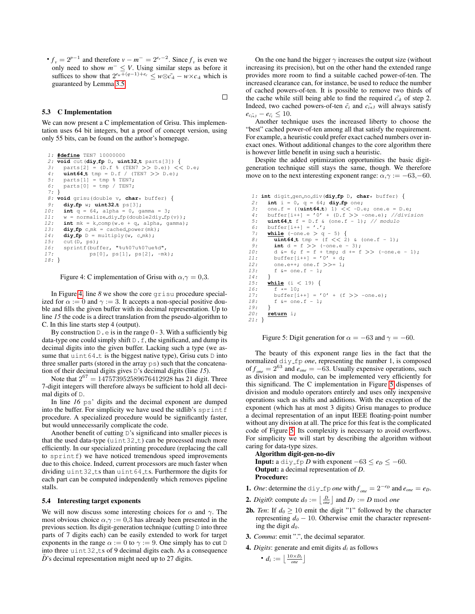•  $f_v = 2^{p-1}$  and therefore  $v - m^- = 2^{e_v - 2}$ . Since  $f_v$  is even we only need to show  $m^- \leq V$ . Using similar steps as before it suffices to show that  $2^{e_w + (q-1) + e_c} \leq w \otimes \tilde{c}_k - w \times c_k$  which is guaranteed by Lemma [3.5.](#page-3-7)

 $\Box$ 

#### 5.3 C Implementation

We can now present a C implementation of Grisu. This implementation uses 64 bit integers, but a proof of concept version, using only 55 bits, can be found on the author's homepage.

```
1: #define TEN7 10000000
 2: void cut(diy fp D, uint32 t parts[3]) {
 3: parts [2] = (D.f % (TEN7 >> D.e)) << D.e;<br>4: uint64_t tmp = D.f / (TEN7 >> D.e);
         uint64_t tmp = D.f / (TEN7 >> D.e);
 5: parts[1] = tmp % TEN7;<br>6: parts[0] = tmp / TEN7;
        parts[0] = tmp / TEN7;7: }
 8: void grisu(double v, char* buffer) {<br>9: div_fp w: uint32_t ps[3]:
9: diy fp w; uint32 t ps[3];<br>10: int q = 64, alpha = 0, qa
10: int q = 64, alpha = 0, gamma = 3;<br>11: w = normalize-div.fv (double2div.fv)w = normalize_diy_fp(double2diy_fp(v));
12: int mk = k_comp(w.e + q, alpha, gamma);<br>13: div_fp c_mk = cached_power(mk):
13: diy fp c mk = cached power(mk);<br>14: div fp D = multiply(w, c mk);
         \text{div}_{\text{F}}\text{p} \text{D} = multiply(w, c_mk);
15: cut(D, ps);<br>16: sprintf(buf)16: sprintf(buffer, "%u%07u%07ue%d",<br>17: psill, psill, psill, -ml
                     ps[0], ps[1], ps[2], -mk);
18: }
```
Figure 4: C implementation of Grisu with  $\alpha, \gamma = 0, 3$ .

In Figure [4,](#page-5-0) line *8* we show the core grisu procedure specialized for  $\alpha := 0$  and  $\gamma := 3$ . It accepts a non-special positive double and fills the given buffer with its decimal representation. Up to line *15* the code is a direct translation from the pseudo-algorithm to C. In this line starts step 4 (output).

By construction  $D \cdot e$  is in the range  $0 - 3$ . With a sufficiently big data-type one could simply shift  $D \cdot f$ , the significand, and dump its decimal digits into the given buffer. Lacking such a type (we assume that  $uint64_t$  is the biggest native type), Grisu cuts D into three smaller parts (stored in the array ps) such that the concatenation of their decimal digits gives D's decimal digits (line *15*).

Note that  $2^{67} = 147573952589676412928$  has 21 digit. Three 7-digit integers will therefore always be sufficient to hold all decimal digits of D.

In line *16* ps' digits and the decimal exponent are dumped into the buffer. For simplicity we have used the stdlib's sprintf procedure. A specialized procedure would be significantly faster, but would unnecessarily complicate the code.

Another benefit of cutting D's significand into smaller pieces is that the used data-type  $(uint32_t)$  can be processed much more efficiently. In our specialized printing procedure (replacing the call to sprintf) we have noticed tremendous speed improvements due to this choice. Indeed, current processors are much faster when dividing uint32 ts than uint64 ts. Furthermore the digits for each part can be computed independently which removes pipeline stalls.

### 5.4 Interesting target exponents

We will now discuss some interesting choices for  $\alpha$  and  $\gamma$ . The most obvious choice  $\alpha, \gamma := 0,3$  has already been presented in the previous section. Its digit-generation technique (cutting D into three parts of 7 digits each) can be easily extended to work for target exponents in the range  $\alpha := 0$  to  $\gamma := 9$ . One simply has to cut D into three uint32\_ts of 9 decimal digits each. As a consequence *D*'s decimal representation might need up to 27 digits.

On the one hand the bigger  $\gamma$  increases the output size (without increasing its precision), but on the other hand the extended range provides more room to find a suitable cached power-of-ten. The increased clearance can, for instance, be used to reduce the number of cached powers-of-ten. It is possible to remove two thirds of the cache while still being able to find the required  $\tilde{c}_k$  of step 2. Indeed, two cached powers-of-ten  $\tilde{c}_i$  and  $c_{i+3}$  will always satisfy  $e_{c_{i+3}} - e_{\tilde{c}_i} \leq 10.$ 

Another technique uses the increased liberty to choose the "best" cached power-of-ten among all that satisfy the requirement. For example, a heuristic could prefer exact cached numbers over inexact ones. Without additional changes to the core algorithm there is however little benefit in using such a heuristic.

Despite the added optimization opportunities the basic digitgeneration technique still stays the same, though. We therefore move on to the next interesting exponent range:  $\alpha, \gamma := -63, -60$ .

```
1: int digit gen no div(\text{diy}\text{-fp} D, \text{char} buffer) {<br>2: int i = 0, q = 64; \text{diy}\text{-fp} one;
 2: int i = 0, q = 64; diy fp one;<br>3: one, f = ((\text{uint64.t}) 1) \leq \text{--}D.
          3: one.f = ((uint64 t) 1) << -D.e; one.e = D.e;
 4: buffer[i++] = '0' + (D.f >> -one.e); //division<br>5: uint64.t f = D.f. & (one.f - 1): // modulo
          uint64_t f = D.f & (one.f - 1); // modulo
 6: buffer[i++] = \prime.';<br>7: while (-one.e > \alpha -
 7: while (-\text{one.e} > q - 5) {<br>8: uint64.t tmp = (f << 2)8: uint64.t tmp = (f \leq \geq 2) & (one.f - 1);<br>9: int d = f \geq 2 (-one.e - 3);
9: int d = f >> (-one.e - 3);<br>
10: d &= 6; f = f + tmp; d += f >> (-one.e - 1);
11: \text{buffer}[\text{i++}] = '0' + d;12: one.e++; one.f >>= 1;<br>13: f \&= one.f - 1;
             f \&= one.f - 1;
14:<br>15:15: while (i < 19) {<br>
16: \frac{f}{f} = 10;
16: \overline{f *}= 10;<br>17: buffer[i+
17: \text{buffer}[\text{i++}] = '0' + (\text{f} >) - \text{one.e};<br>18: \text{f} = \text{one.f} - 1;f \&= one.f - 1;
19: }
20: return i;
21: }
```
Figure 5: Digit generation for  $\alpha = -63$  and  $\gamma = -60$ .

The beauty of this exponent range lies in the fact that the normalized diy\_fp *one*, representing the number 1, is composed of  $f_{one} = 2^{63}$  and  $e_{one} = -63$ . Usually expensive operations, such as division and modulo, can be implemented very efficiently for this significand. The C implementation in Figure [5](#page-5-1) dispenses of division and modulo operators entirely and uses only inexpensive operations such as shifts and additions. With the exception of the exponent (which has at most 3 digits) Grisu manages to produce a decimal representation of an input IEEE floating-point number without any division at all. The price for this feat is the complicated code of Figure [5.](#page-5-1) Its complexity is necessary to avoid overflows. For simplicity we will start by describing the algorithm without caring for data-type sizes.

Algorithm digit-gen-no-div **Input:** a diy\_fp *D* with exponent  $-63 \le e_D \le -60$ . Output: a decimal representation of *D*. Procedure:

- 1. *One*: determine the diy\_fp *one* with  $f_{one} = 2^{-e_D}$  and  $e_{one} = e_D$ .
- **2.** *Digit0*: compute  $d_0 := \left\lfloor \frac{D}{one} \right\rfloor$  and  $D_1 := D \text{ mod } one$
- **2b.** *Ten*: If  $d_0 \ge 10$  emit the digit "1" followed by the character representing  $d<sub>0</sub> - 10$ . Otherwise emit the character representing the digit *d0*.
- 3. *Comma*: emit ".", the decimal separator.
- 4. *Digits*: generate and emit digits *d<sup>i</sup>* as follows •  $d_i := \left\lfloor \frac{10 \times D_i}{one} \right\rfloor$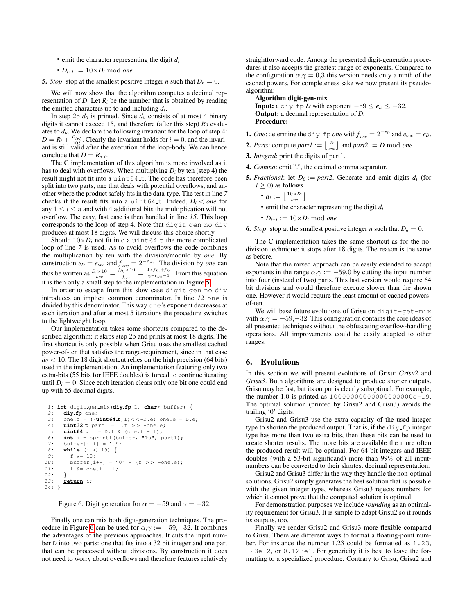- emit the character representing the digit *d<sup>i</sup>*
- $D_{i+1} := 10 \times D_i \text{ mod one}$
- 5. *Stop*: stop at the smallest positive integer *n* such that  $D_n = 0$ .

We will now show that the algorithm computes a decimal representation of *D*. Let  $R_i$  be the number that is obtained by reading the emitted characters up to and including *di*.

In step 2b  $d_0$  is printed. Since  $d_0$  consists of at most 4 binary digits it cannot exceed 15, and therefore (after this step)  $R_0$  evaluates to  $d_0$ . We declare the following invariant for the loop of step 4:  $D = R_i + \frac{D_{i+1}}{10^{i}}$ . Clearly the invariant holds for  $i = 0$ , and the invariant is still valid after the execution of the loop-body. We can hence conclude that  $D = R_{n-1}$ .

The C implementation of this algorithm is more involved as it has to deal with overflows. When multiplying  $D_i$  by ten (step 4) the result might not fit into a uint 64 t. The code has therefore been split into two parts, one that deals with potential overflows, and another where the product safely fits in the data-type. The test in line *7* checks if the result fits into a uint64\_t. Indeed,  $D_i <$  *one* for any  $1 \leq i \leq n$  and with 4 additional bits the multiplication will not overflow. The easy, fast case is then handled in line *15*. This loop corresponds to the loop of step 4. Note that digit gen no div produces at most 18 digits. We will discuss this choice shortly.

Should  $10\times D_i$  not fit into a uint64<sub>-t</sub> the more complicated loop of line *7* is used. As to avoid overflows the code combines the multiplication by ten with the division/modulo by *one*. By construction  $e_D = e_{one}$  and  $f_{one} = 2^{-e_{one}}$ . The division by *one* can thus be written as  $\frac{D_i \times 10}{one} = \frac{f_{D_i} \times 10}{f_{one}}$  $f_{one}^{(X10)} = \frac{4 \times f_{D_i} + f_{D_i}}{2^{-e_{one}-1}}$ . From this equation it is then only a small step to the implementation in Figure [5.](#page-5-1)

In order to escape from this slow case digit gen no div introduces an implicit common denominator. In line *12* one is divided by this denominator. This way one's exponent decreases at each iteration and after at most 5 iterations the procedure switches to the lightweight loop.

Our implementation takes some shortcuts compared to the described algorithm: it skips step 2b and prints at most 18 digits. The first shortcut is only possible when Grisu uses the smallest cached power-of-ten that satisfies the range-requirement, since in that case  $d_0$  < 10. The 18 digit shortcut relies on the high precision (64 bits) used in the implementation. An implementation featuring only two extra-bits (55 bits for IEEE doubles) is forced to continue iterating until  $D_i = 0$ . Since each iteration clears only one bit one could end up with 55 decimal digits.

```
1: int digit gen mix(diy fp D, char* buffer) {
 2: diy_fp one;<br>3: one.f = ((1
         3: one.f = ((uint64 t)1)<<-D.e; one.e = D.e;
 4: uint32 t part1 = D.f >> -one.e;
 5: uint64 t f = D.f & (one.f - 1);
 6: int i = sprintf(buffer, "\{u''\}, part1);<br>7: buffer[i++] = '.';
 7: buffer[i++] = '.';<br>8: while (i < 19) {
 8: while (i < 19) {<br>9: f * = 10;
9: f \neq 10;<br>10: buffer[i]
10: \text{buffer}[\text{i++}] = '0' + (\text{f} > > -\text{one.e});<br>11: \text{f} \&= \text{one.f} - 1;f \&= one.f - 1;
\begin{array}{cc} 12: & \\ 13: & \mathbf{1} \end{array}13: return i;
14: }
```
Figure 6: Digit generation for  $\alpha = -59$  and  $\gamma = -32$ .

Finally one can mix both digit-generation techniques. The pro-cedure in Figure [6](#page-6-1) can be used for  $\alpha, \gamma := -59, -32$ . It combines the advantages of the previous approaches. It cuts the input number D into two parts: one that fits into a 32 bit integer and one part that can be processed without divisions. By construction it does not need to worry about overflows and therefore features relatively

straightforward code. Among the presented digit-generation procedures it also accepts the greatest range of exponents. Compared to the configuration  $\alpha, \gamma = 0.3$  this version needs only a ninth of the cached powers. For completeness sake we now present its pseudoalgorithm:

#### Algorithm digit-gen-mix

**Input:** a diy\_fp *D* with exponent  $-59 \le e_D \le -32$ . Output: a decimal representation of *D*. Procedure:

- 1. *One*: determine the diy\_fp *one* with  $f_{one} = 2^{-ep}$  and  $e_{one} = e_D$ .
- **2.** *Parts*: compute *part1* :=  $\left\lfloor \frac{D}{one} \right\rfloor$  and *part2* := *D* mod *one*
- 3. *Integral*: print the digits of part1.
- 4. *Comma*: emit ".", the decimal comma separator.
- 5. *Fractional*: let  $D_0 := part2$ . Generate and emit digits  $d_i$  (for  $i \geq 0$ ) as follows

• 
$$
d_i := \left\lfloor \frac{10 \times D_i}{one} \right\rfloor
$$

- emit the character representing the digit *d<sup>i</sup>*
- $D_{i+1} := 10 \times D_i \text{ mod one}$

6. *Stop*: stop at the smallest positive integer *n* such that  $D_n = 0$ .

The C implementation takes the same shortcut as for the nodivision technique: it stops after 18 digits. The reason is the same as before.

Note that the mixed approach can be easily extended to accept exponents in the range  $\alpha, \gamma := -59.0$  by cutting the input number into four (instead of two) parts. This last version would require 64 bit divisions and would therefore execute slower than the shown one. However it would require the least amount of cached powersof-ten.

We will base future evolutions of Grisu on digit-get-mix with  $\alpha$ ,  $\gamma = -59, -32$ . This configuration contains the core ideas of all presented techniques without the obfuscating overflow-handling operations. All improvements could be easily adapted to other ranges.

### <span id="page-6-0"></span>6. Evolutions

In this section we will present evolutions of Grisu: *Grisu2* and *Grisu3*. Both algorithms are designed to produce shorter outputs. Grisu may be fast, but its output is clearly suboptimal. For example, the number 1.0 is printed as 10000000000000000000e-19. The optimal solution (printed by Grisu2 and Grisu3) avoids the trailing '0' digits.

Grisu2 and Grisu3 use the extra capacity of the used integer type to shorten the produced output. That is, if the  $div_{\mathcal{L}}$  fp integer type has more than two extra bits, then these bits can be used to create shorter results. The more bits are available the more often the produced result will be optimal. For 64-bit integers and IEEE doubles (with a 53-bit significand) more than 99% of all inputnumbers can be converted to their shortest decimal representation.

Grisu2 and Grisu3 differ in the way they handle the non-optimal solutions. Grisu2 simply generates the best solution that is possible with the given integer type, whereas Grisu3 rejects numbers for which it cannot prove that the computed solution is optimal.

For demonstration purposes we include *rounding* as an optimality requirement for Grisu3. It is simple to adapt Grisu2 so it rounds its outputs, too.

Finally we render Grisu2 and Grisu3 more flexible compared to Grisu. There are different ways to format a floating-point number. For instance the number 1.23 could be formatted as 1.23, 123e-2, or 0.123e1. For genericity it is best to leave the formatting to a specialized procedure. Contrary to Grisu, Grisu2 and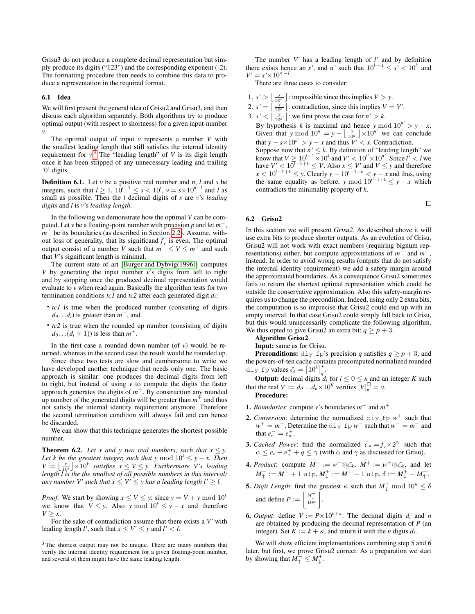Grisu3 do not produce a complete decimal representation but simply produce its digits ("123") and the corresponding exponent (-2). The formatting procedure then needs to combine this data to produce a representation in the required format.

#### 6.1 Idea

We will first present the general idea of Grisu2 and Grisu3, and then discuss each algorithm separately. Both algorithms try to produce optimal output (with respect to shortness) for a given input-number *v*.

The optimal output of input *v* represents a number *V* with the smallest leading length that still satisfies the internal identity requirement for  $v^3$  $v^3$ . The "leading length" of *V* is its digit length once it has been stripped of any unnecessary leading and trailing '0' digits.

**Definition 6.1.** Let  $v$  be a positive real number and  $n$ ,  $l$  and  $s$  be integers, such that  $l \geq 1$ ,  $10^{l-1} \leq s < 10^l$ ,  $v = s \times 10^{n-l}$  and *l* as small as possible. Then the *l* decimal digits of *s* are *v*'s *leading digits* and *l* is *v*'s *leading length*.

In the following we demonstrate how the optimal *V* can be computed. Let *v* be a floating-point number with precision *p* and let  $m^-$ ,  $m<sup>+</sup>$  be its boundaries (as described in Section [2.2\)](#page-1-2). Assume, without loss of generality, that its significand  $f<sub>v</sub>$  is even. The optimal output consist of a number *V* such that  $m^{-} \leq V \leq m^{+}$  and such that *V*'s significant length is minimal.

The current state of art [\[Burger and Dybvig\(1996\)\]](#page-10-4) computes *V* by generating the input number *v*'s digits from left to right and by stopping once the produced decimal representation would evaluate to *v* when read again. Basically the algorithm tests for two termination conditions *tc1* and *tc2* after each generated digit *di*:

- *tcl* is true when the produced number (consisting of digits *d0*. . .*di*) is greater than *m* <sup>−</sup>, and
- *tc2* is true when the rounded up number (consisting of digits  $d_0$ . . . $(d_i + 1)$  is less than  $m^+$ .

In the first case a rounded down number (of *v*) would be returned, whereas in the second case the result would be rounded up.

Since these two tests are slow and cumbersome to write we have developed another technique that needs only one. The basic approach is similar: one produces the decimal digits from left to right, but instead of using  $v$  to compute the digits the faster approach generates the digits of  $m<sup>+</sup>$ . By construction any rounded up number of the generated digits will be greater than  $m^+$  and thus not satisfy the internal identity requirement anymore. Therefore the second termination condition will always fail and can hence be discarded.

We can show that this technique generates the shortest possible number.

<span id="page-7-1"></span>**Theorem 6.2.** *Let x and y two real numbers, such that*  $x \leq y$ *. Let k be the greatest integer, such that y* mod  $10^k \leq y - x$ . Then  $V := \left\lfloor \frac{y}{10^k} \right\rfloor \times 10^k$  satisfies  $x \le V \le y$ . *Furthermore V's leading length l is the the smallest of all possible numbers in this interval: any number V' such that*  $x \leq V' \leq y$  *has a leading length l'*  $\geq l$ *.* 

*Proof.* We start by showing  $x \le V \le y$ : since  $y = V + y \mod 10^k$ we know that  $V \leq y$ . Also *y* mod  $10^k \leq y - x$  and therefore  $V > x$ .

For the sake of contradiction assume that there exists a *V'* with leading length *l'*, such that  $x \leq V' \leq y$  and  $l' < l$ .

The number *V'* has a leading length of *l'* and by definition there exists hence an *s'*, and *n'* such that  $10^{l'-1} \le s' < 10^{l'}$  and  $V' = s' \times 10^{n'-l'}$ .

There are three cases to consider:

1.  $s' > \left\lfloor \frac{y}{10^{n'}} \right\rfloor$ : impossible since this implies  $V > y$ .

- 2.  $s' = \left\lfloor \frac{y}{10^n} \right\rfloor$ : contradiction, since this implies  $V = V'$ .
- 3.  $s' < \left\lfloor \frac{y}{10^n} \right\rfloor$ : we first prove the case for  $n' > k$ .

By hypothesis *k* is maximal and hence *y* mod  $10^{n'} > y - x$ . Given that *y* mod  $10^{n'} = y - \left\lfloor \frac{y}{10^{n'}} \right\rfloor \times 10^{n'}$  we can conclude that  $y - s \times 10^{n'} > y - x$  and thus  $V' < x$ . Contradiction. Suppose now that  $n' \leq k$ . By definition of "leading length" we know that  $V \ge 10^{l-1} \times 10^k$  and  $V' < 10^{l'} \times 10^{n'}$ . Since  $l' < l$  we have  $V' < 10^{l-1+k} \le V$ . Also  $x \le V'$  and  $V \le y$  and therefore  $x < 10^{l-1+k} \leq y$ . Clearly  $y - 10^{l-1+k} < y - x$  and thus, using the same equality as before, *y* mod  $10^{l-1+k} \leq y - x$  which contradicts the minimality property of *k*.

### $\Box$

#### 6.2 Grisu2

In this section we will present *Grisu2*. As described above it will use extra bits to produce shorter outputs. As an evolution of Grisu, Grisu2 will not work with exact numbers (requiring bignum representations) either, but compute approximations of  $m^-$  and  $m^+$ , instead. In order to avoid wrong results (outputs that do not satisfy the internal identity requirement) we add a safety margin around the approximated boundaries. As a consequence Grisu2 sometimes fails to return the shortest optimal representation which could lie outside the conservative approximation. Also this safety-margin requires us to change the precondition. Indeed, using only 2 extra bits, the computation is so imprecise that Grisu2 could end up with an empty interval. In that case Grisu2 could simply fall back to Grisu, but this would unnecessarily complicate the following algorithm. We thus opted to give Grisu2 an extra bit:  $q \geq p + 3$ .

Algorithm Grisu2

Input: same as for Grisu.

**Preconditions:** diy fp's precision *q* satisfies  $q \geq p+3$ , and the powers-of-ten cache contains precomputed normalized rounded diy\_fp values  $\tilde{c_k} = \left[10^k\right]_q^{\star}$ .

**Output:** decimal digits  $d_i$  for  $i \leq 0 \leq n$  and an integer K such that the real  $V := d_0 \dots d_n \times 10^K$  verifies  $[V]_p^{\square} = v$ .

## Procedure:

- 1. *Boundaries*: compute *v*'s boundaries  $m^-$  and  $m^+$ .
- **2.** *Conversion*: determine the normalized  $\text{div}_{\mathcal{I}} f$  w<sup>+</sup> such that  $w^+ = m^+$ . Determine the diy\_fp  $w^-$  such that  $w^- = m^-$  and that  $e_w^- = e_w^+$ .
- **3.** *Cached Power*: find the normalized  $\tilde{c}_k = f_c \times 2^{e_c}$  such that  $\alpha \le e_c + e_w^+ + q \le \gamma$  (with  $\alpha$  and  $\gamma$  as discussed for Grisu).
- 4. *Product*: compute  $\tilde{M}^- := w^- \otimes \tilde{c_k}$ ,  $\tilde{M}^+ := w^+ \otimes \tilde{c_k}$ , and let  $M_{\uparrow}^{-} := \tilde{M^{-}} + 1$  ulp,  $M_{\downarrow}^{+} := \tilde{M^{+}} - 1$  ulp,  $\delta := M_{\downarrow}^{+} - M_{\uparrow}^{-}$ .
- **5.** *Digit Length*: find the greatest  $\kappa$  such that  $M_{\downarrow}^{+}$  mod  $10^{\kappa} \le \delta$ and define  $P := \left| \frac{M_{\downarrow}^{+}}{10^{k}} \right|$ .
- **6.** *Output*: define  $V := P \times 10^{k+\kappa}$ . The decimal digits  $d_i$  and *n* are obtained by producing the decimal representation of *P* (an integer). Set  $K := k + \kappa$ , and return it with the *n* digits  $d_i$ .

We will show efficient implementations combining step 5 and 6 later, but first, we prove Grisu2 correct. As a preparation we start by showing that  $M^-_\uparrow \leq M^+_\downarrow$ .

<span id="page-7-0"></span><sup>&</sup>lt;sup>3</sup> The shortest output may not be unique. There are many numbers that verify the internal identity requirement for a given floating-point number, and several of them might have the same leading length.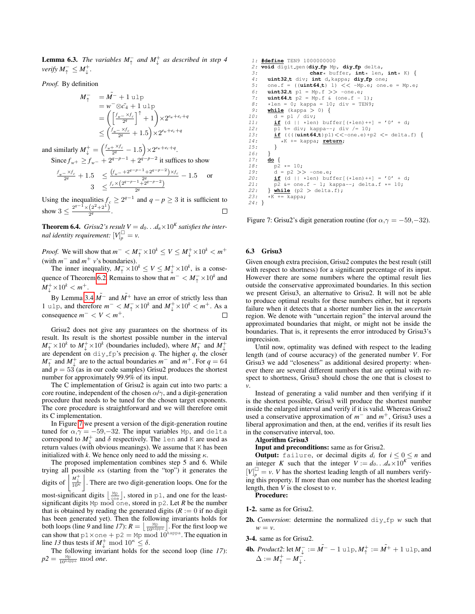**Lemma 6.3.** *The variables*  $M_{\uparrow}^-$  *and*  $M_{\downarrow}^+$  *as described in step 4*  $\text{Verify } M_{\uparrow}^- \leq M_{\downarrow}^+$ .

*Proof.* By definition

*f*

$$
M_{\uparrow}^{-} = \tilde{M}^{-} + 1 \operatorname{ulp}
$$
  
=  $w^{-} \otimes c_{k} + 1 \operatorname{ulp}$   
=  $\left( \left[ \frac{f_{w} - \times f_{c}}{2^{q}} \right]^{+} + 1 \right) \times 2^{e_{w} + e_{c} + q}$   
 $\leq \left( \frac{f_{w} - \times f_{c}}{2^{q}} + 1.5 \right) \times 2^{e_{w} + e_{c} + q}$ 

and similarly  $M_{\downarrow}^{+} = \left(\frac{f_w + \times f_c}{2^q} - 1.5\right) \times 2^{e_w + e_c + q}$ .

Since  $f_{w+}$  ≥  $f_{w-}$  +  $2^{q-p-1}$  +  $2^{q-p-2}$  it suffices to show

$$
\frac{\frac{r_w - \times f_c}{2^q} + 1.5}{3} \le \frac{(f_w - 2^{q-p-1} + 2^{q-p-2}) \times f_c}{3} - 1.5 \quad \text{or}
$$
\n
$$
\frac{f_c \times (2^{q-p-1} + 2^{q-p-2})}{2^q}
$$

Using the inequalities  $f_c \geq 2^{q-1}$  and  $q - p \geq 3$  it is sufficient to show  $3 \leq \frac{2^{q-1} \times (2^2 + 2^1)}{2^q}$ .

**Theorem 6.4.** *Grisu2's result*  $V = d_0 \dots d_n \times 10^K$  *satisfies the internal identity requirement:*  $[V]_p^{\square} = v$ .

*Proof.* We will show that  $m^- < M_\uparrow^- \times 10^k \le V \le M_\downarrow^+ \times 10^k < m^+$ (with  $m^-$  and  $m^+$   $v$ 's boundaries).

The inner inequality,  $M_{\uparrow}^- \times 10^k \le V \le M_{\downarrow}^+ \times 10^k$ , is a conse-quence of Theorem [6.2.](#page-7-1) Remains to show that  $m^- < M^-_\uparrow \times 10^k$  and  $M_{\downarrow}^{+} \times 10^{k} < m^{+}.$ 

By Lemma [3.4](#page-3-6)  $\overline{M}^{-}$  and  $\overline{M}^{+}$  have an error of strictly less than 1 ulp, and therefore  $m^- < M^-_\uparrow \times 10^k$  and  $M^+_\downarrow \times 10^k < m^+$ . As a  $\text{consequence } m^- < V < m^+.$  $\Box$ 

Grisu2 does not give any guarantees on the shortness of its result. Its result is the shortest possible number in the interval  $M_{\uparrow}^- \times 10^k$  to  $M_{\downarrow}^+ \times 10^k$  (boundaries included), where  $M_{\uparrow}^-$  and  $M_{\downarrow}^+$ are dependent on  $\text{di}\,y\,\text{f}p\text{'s}$  precision *q*. The higher *q*, the closer  $M_{\uparrow}^-$  and  $M_{\downarrow}^+$  are to the actual boundaries  $m^-$  and  $m^+$ . For  $q = 64$ and  $p = 53$  (as in our code samples) Grisu2 produces the shortest number for approximately 99.9% of its input.

The C implementation of Grisu2 is again cut into two parts: a core routine, independent of the chosen  $\alpha/\gamma$ , and a digit-generation procedure that needs to be tuned for the chosen target exponents. The core procedure is straightforward and we will therefore omit its C implementation.

In Figure [7](#page-8-0) we present a version of the digit-generation routine tuned for  $\alpha, \gamma = -59, -32$ . The input variables Mp, and delta correspond to  $M_{\downarrow}^{+}$  and  $\delta$  respectively. The len and K are used as return values (with obvious meanings). We assume that K has been initialized with *k*. We hence only need to add the missing  $\kappa$ .

The proposed implementation combines step 5 and 6. While trying all possible  $\kappa s$  (starting from the "top") it generates the digits of  $\frac{M_{\downarrow}^{+}}{10^{k}}$  . There are two digit-generation loops. One for the most-significant digits  $\lfloor \frac{M_D}{Qn} \rfloor$ , stored in p1, and one for the leastsignificant digits  $Mp \mod$  one, stored in  $p2$ . Let *R* be the number that is obtained by reading the generated digits  $(R := 0$  if no digit has been generated yet). Then the following invariants holds for both loops (line 9 and line 17):  $R = \left\lfloor \frac{Mp}{10^{kappa}} \right\rfloor$ . For the first loop we can show that  $p1 \times one + p2 = Mp \mod 10^{kappa}$ . The equation in

line *13* thus tests if  $M_+^+ \mod 10^{\kappa} \le \delta$ . The following invariant holds for the second loop (line *17*):  $p2 = \frac{Mp}{10^{kappa}}$  mod *one*.

```
1: #define TEN9 1000000000
 2: void digit gen(diy fp Mp, diy fp delta,
 3: char* buffer, int* len, int* K) {<br>4: uint32.t div: int d.kappa: divfp one:
 4: uint32.t div; int d, kappa; diy.fp one;<br>5: one.f = ((\text{uint64.t}) 1) \leq (-\text{MDE}; \text{one})one.f = ((uint64_t) 1) << -Mp.e; one.e = Mp.e;6: uint32 t p1 = Mp.f >> -one.e;<br>7: uint64 t p2 = Mp.f & (one.f - 1)
          \text{uint64.t } p2 = Mp.f & (one.f - 1);8: *len = 0; kappa = 10; div = TEN9;<br>9: while (kappa > 0) {
9: while (kappa > 0) {<br>10: d = p1 / div;10: \overline{d} = p1 / div;<br>11: \overline{if} (d || * len)11: if (d \mid | * \text{len}) buffer[( * \text{len}) +1 ] = '0' + d;<br>12: p1 * = div; kappa--; div /= 10;12: \overline{p1} %= div; kappa--; div /= 10;<br>13: if ((((uint64.t)p1) < < -one.e) +x
              \textbf{if} ((((\textbf{(uint64.t)} p1) <<-one.e)+p2 <= delta.f) {
14: *K += kappa; <u>return</u>;<br>15: }
15:16:<br>17:
\frac{17:}{18:} \frac{d\mathbf{o}}{p^2}18: \frac{1}{p^2} \neq 10;<br>19: d = p^2 >19: d = p2 \gt\gt \neg one.e;<br>20: if (d + k \neq 0) buf
20: if (d \mid | * \text{len}) buffer[( * \text{len}) +1 ] = '0' + d;<br>21: p2 \&= \text{one.f} - 1; \text{kapra} - \text{j.} delta f * = 10:
21: p^2 \&= \text{one.f} - 1; kappa--; delta.f *= 10;<br>22: } while (p2 > \text{delta.f}):
22: \frac{1}{2} while (p2 > delta.f);
           *K += kappa;
24: }
```
Figure 7: Grisu2's digit generation routine (for  $\alpha, \gamma = -59, -32$ ).

#### 6.3 Grisu3

Given enough extra precision, Grisu2 computes the best result (still with respect to shortness) for a significant percentage of its input. However there are some numbers where the optimal result lies outside the conservative approximated boundaries. In this section we present Grisu3, an alternative to Grisu2. It will not be able to produce optimal results for these numbers either, but it reports failure when it detects that a shorter number lies in the *uncertain* region. We denote with "uncertain region" the interval around the approximated boundaries that might, or might not be inside the boundaries. That is, it represents the error introduced by Grisu3's imprecision.

Until now, optimality was defined with respect to the leading length (and of course accuracy) of the generated number *V*. For Grisu3 we add "closeness" as additional desired property: whenever there are several different numbers that are optimal with respect to shortness, Grisu3 should chose the one that is closest to *v*.

Instead of generating a valid number and then verifying if it is the shortest possible, Grisu3 will produce the shortest number inside the enlarged interval and verify if it is valid. Whereas Grisu2 used a conservative approximation of  $m^-$  and  $m^+$ , Grisu3 uses a liberal approximation and then, at the end, verifies if its result lies in the conservative interval, too.

#### Algorithm Grisu3

Input and preconditions: same as for Grisu2.

**Output:** failure, or decimal digits  $d_i$  for  $i \leq 0 \leq n$  and an integer *K* such that the integer  $V := d_0 \dots d_n \times 10^K$  verifies  $[V]_p^{\square} = v$ . *V* has the shortest leading length of all numbers verifying this property. If more than one number has the shortest leading length, then *V* is the closest to *v*.

Procedure:

- 1-2. same as for Grisu2.
- **2b.** *Conversion*: determine the normalized  $\text{div}_{f}$  fp *w* such that  $w = v$ .
- 3-4. same as for Grisu2.
- **4b.** *Product2*: let  $M_{\downarrow}^- := \tilde{M^-} 1$  ulp,  $M_{\uparrow}^+ := \tilde{M^+} + 1$  ulp, and  $\Delta := M_{\uparrow}^+ - M_{\downarrow}^-$ .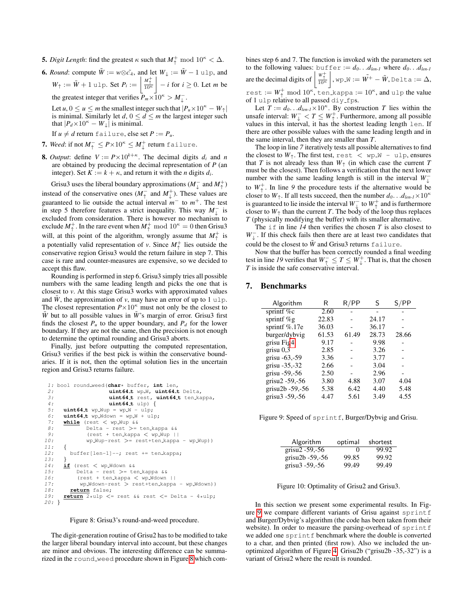**5.** *Digit Length*: find the greatest  $\kappa$  such that  $M_{\uparrow}^+$  mod  $10^{\kappa} < \Delta$ .

**6.** Round: compute 
$$
\tilde{W} := w \otimes \tilde{c}_k
$$
, and let  $W_{\downarrow} := \tilde{W} - 1$  ulp, and  $W_{\uparrow} := \tilde{W} + 1$  ulp. Set  $P_i := \left\lfloor \frac{M_{\uparrow}^+}{10^{\kappa}} \right\rfloor - i$  for  $i \ge 0$ . Let *m* be the greatest integer that verifies  $P_m \times 10^{\kappa} > M_{\downarrow}^-$ .

Let  $u, 0 \le u \le m$  the smallest integer such that  $|P_u \times 10^{\kappa} - W_1|$ is minimal. Similarly let  $d$ ,  $0 \le d \le m$  the largest integer such that  $|P_d \times 10^{\kappa} - W_{\downarrow}|$  is minimal.

If  $u \neq d$  return failure, else set  $P := P_u$ .

- **7.** Weed: if not  $M_{\uparrow}^{-} \leq P \times 10^{\kappa} \leq M_{\downarrow}^{+}$  return failure.
- **8.** *Output*: define  $V := P \times 10^{k+\kappa}$ . The decimal digits  $d_i$  and *n* are obtained by producing the decimal representation of *P* (an integer). Set  $K := k + \kappa$ , and return it with the *n* digits  $d_i$ .

Grisu3 uses the liberal boundary approximations ( $M_{\downarrow}^-$  and  $M_{\uparrow}^+$ ) instead of the conservative ones  $(M_{\uparrow}^-$  and  $M_{\downarrow}^+)$ . These values are guaranteed to lie outside the actual interval  $m^-$  to  $m^+$ . The test in step 5 therefore features a strict inequality. This way  $M_{\downarrow}^-$  is excluded from consideration. There is however no mechanism to exclude  $M_{\uparrow}^{+}$ . In the rare event when  $M_{\uparrow}^{+}$  mod  $10^{\kappa} = 0$  then Grisu3 will, at this point of the algorithm, wrongly assume that  $M_{\uparrow}^{+}$  is a potentially valid representation of *v*. Since  $M_{\uparrow}^+$  lies outside the conservative region Grisu3 would the return failure in step 7. This case is rare and counter-measures are expensive, so we decided to accept this flaw.

Rounding is performed in step 6. Grisu3 simply tries all possible numbers with the same leading length and picks the one that is closest to *v*. At this stage Grisu3 works with approximated values and  $\tilde{W}$ , the approximation of *v*, may have an error of up to 1 ulp. The closest representation  $P \times 10^{k}$  must not only be the closest to  $\tilde{W}$  but to all possible values in  $\tilde{W}$ 's margin of error. Grisu3 first finds the closest  $P_u$  to the upper boundary, and  $P_d$  for the lower boundary. If they are not the same, then the precision is not enough to determine the optimal rounding and Grisu3 aborts.

Finally, just before outputting the computed representation, Grisu3 verifies if the best pick is within the conservative boundaries. If it is not, then the optimal solution lies in the uncertain region and Grisu3 returns failure.

```
1: bool round weed(char* buffer, int len,
                      2: uint64 t wp W, uint64 t Delta,
 3: uint64 t rest, uint64 t ten kappa,
                      4: uint64 t ulp) {
 5: uint64 t wp Wup = wp W - ulp;
6: uint64 t wp Wdown = wp W + ulp;
 7: while (rest < wp_Wup & &<br>8: Delta - rest >= ten_kappa & &
 9: (rest + ten \nkappa) < w \cdot \nWup ||10: wp_Wup-rest >= rest+ten_kappa - wp_Wup))
11: {
12: buffer[len-1]--; rest += ten_kappa;
13:14: \frac{\textbf{if}}{\textbf{f}} (rest \lt wp Wdown & &<br>15: Delta - rest \gt = te
           15: Delta - rest >= ten kappa &&
16: (rest + ten kappa < wp Wdown ||
17: wp Wdown-rest > rest+ten kappa - wp Wdown))
18: return false;
19: return 2*ulp <= rest && rest <= Delta - 4*ulp;
20: }
```
Figure 8: Grisu3's round-and-weed procedure.

The digit-generation routine of Grisu2 has to be modified to take the larger liberal boundary interval into account, but these changes are minor and obvious. The interesting difference can be summarized in the round weed procedure shown in Figure [8](#page-9-1) which combines step 6 and 7. The function is invoked with the parameters set to the following values: buffer  $:= d_0 \dots d_{\ell n-l}$  where  $d_0 \dots d_{\ell n-l}$ are the decimal digits of  $\left| \frac{w^+}{10^{k}} \right|$  $\Big\vert$ , wp\_W :=  $\tilde{W^+} - \tilde{W}$ , Delta :=  $\Delta$ ,  $\text{rest} := W_{\uparrow}^{+} \text{ mod } 10^{\kappa}$ , ten kappa :=  $10^{\kappa}$ , and ulp the value of 1 ulp relative to all passed  $\text{div}_{\text{f}}$  fps.

Let  $T := d_0 \dots d_{\ell n} \times 10^{\kappa}$ . By construction *T* lies within the unsafe interval:  $W^-_{\downarrow} < T \leq W^+_{\uparrow}$ . Furthermore, among all possible values in this interval, it has the shortest leading length len. If there are other possible values with the same leading length and in the same interval, then they are smaller than *T*.

The loop in line *7* iteratively tests all possible alternatives to find the closest to  $W_{\uparrow}$ . The first test, rest < wp\_W - ulp, ensures that *T* is not already less than  $W_{\uparrow}$  (in which case the current *T* must be the closest). Then follows a verification that the next lower number with the same leading length is still in the interval  $W^$ to  $W^+_{\uparrow}$ . In line 9 the procedure tests if the alternative would be closer to  $W_{\uparrow}$ . If all tests succeed, then the number  $d_0$ . . . $d_{len-1} \times 10^{\kappa}$ is guaranteed to lie inside the interval  $W^-_\downarrow$  to  $W^+_\uparrow$  and is furthermore closer to  $W_{\uparrow}$  than the current *T*. The body of the loop thus replaces *T* (physically modifying the buffer) with its smaller alternative.

The  $if$  in line  $14$  then verifies the chosen  $T$  is also closest to  $W_{\downarrow}^-$ . If this check fails then there are at least two candidates that could be the closest to  $\tilde{W}$  and Grisu<sub>3</sub> returns failure.

Now that the buffer has been correctly rounded a final weeding test in line *19* verifies that  $W_{\uparrow}^{-} \leq T \leq W_{\downarrow}^{+}$ . That is, that the chosen *T* is inside the safe conservative interval.

# <span id="page-9-2"></span><span id="page-9-0"></span>7. Benchmarks

| Algorithm         | R     | R/PP  | S     | S/PP  |
|-------------------|-------|-------|-------|-------|
| sprintf $%c$      | 2.60  |       |       |       |
| sprintf $\%$ g    | 22.83 |       | 24.17 |       |
| sprintf $\%$ .17e | 36.03 |       | 36.17 |       |
| burger/dybvig     | 61.53 | 61.49 | 28.73 | 28.66 |
| grisu Fig4        | 9.17  |       | 9.98  |       |
| grisu $0.3$       | 2.85  |       | 3.26  |       |
| grisu $-63,-59$   | 3.36  |       | 3.77  |       |
| grisu $-35,-32$   | 2.66  |       | 3.04  |       |
| grisu -59,-56     | 2.50  |       | 2.96  |       |
| grisu2 -59,-56    | 3.80  | 4.88  | 3.07  | 4.04  |
| grisu2b -59,-56   | 5.38  | 6.42  | 4.40  | 5.48  |
| grisu3 -59,-56    | 4.47  | 5.61  | 3.49  | 4.55  |

<span id="page-9-3"></span>Figure 9: Speed of sprintf, Burger/Dybvig and Grisu.

| Algorithm           | optimal    | shortest |
|---------------------|------------|----------|
| grisu $2 - 59, -56$ | $^{\circ}$ | 99.92    |
| grisu2b -59,-56     | 99.85      | 99.92    |
| grisu $3 - 59, -56$ | 99.49      | 99.49    |

Figure 10: Optimality of Grisu2 and Grisu3.

In this section we present some experimental results. In Fig-ure [9](#page-9-2) we compare different variants of Grisu against sprintf and Burger/Dybvig's algorithm (the code has been taken from their website). In order to measure the parsing-overhead of sprintf we added one sprintf benchmark where the double is converted to a char, and then printed (first row). Also we included the unoptimized algorithm of Figure [4.](#page-5-0) Grisu2b ("grisu2b -35,-32") is a variant of Grisu2 where the result is rounded.